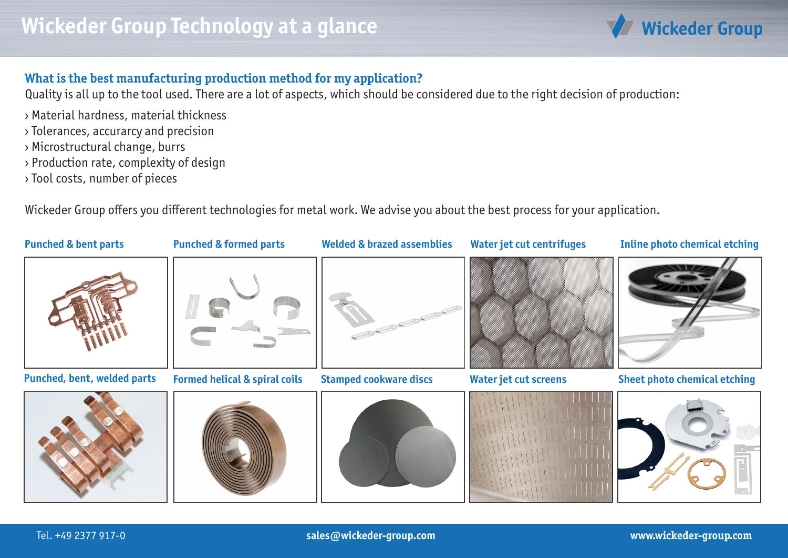

## **What is the best manufacturing production method for my application?**

Quality is all up to the tool used. There are a lot of aspects, which should be considered due to the right decision of production:

- › Material hardness, material thickness
- › Tolerances, accurarcy and precision
- › Microstructural change, burrs
- › Production rate, complexity of design
- › Tool costs, number of pieces

Wickeder Group offers you different technologies for metal work. We advise you about the best process for your application.